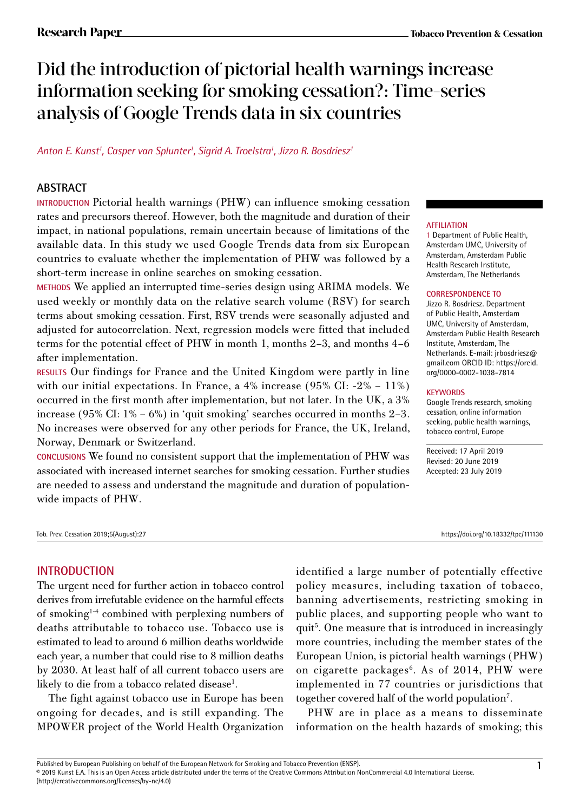# Did the introduction of pictorial health warnings increase information seeking for smoking cessation?: Time-series analysis of Google Trends data in six countries

*Anton E. Kunst1 , Casper van Splunter1 , Sigrid A. Troelstra1 , Jizzo R. Bosdriesz1*

# **ABSTRACT**

**INTRODUCTION** Pictorial health warnings (PHW) can influence smoking cessation rates and precursors thereof. However, both the magnitude and duration of their impact, in national populations, remain uncertain because of limitations of the available data. In this study we used Google Trends data from six European countries to evaluate whether the implementation of PHW was followed by a short-term increase in online searches on smoking cessation.

**METHODS** We applied an interrupted time-series design using ARIMA models. We used weekly or monthly data on the relative search volume (RSV) for search terms about smoking cessation. First, RSV trends were seasonally adjusted and adjusted for autocorrelation. Next, regression models were fitted that included terms for the potential effect of PHW in month 1, months 2–3, and months 4–6 after implementation.

**RESULTS** Our findings for France and the United Kingdom were partly in line with our initial expectations. In France, a 4% increase (95% CI: -2% – 11%) occurred in the first month after implementation, but not later. In the UK, a 3% increase (95% CI: 1% – 6%) in 'quit smoking' searches occurred in months 2–3. No increases were observed for any other periods for France, the UK, Ireland, Norway, Denmark or Switzerland.

**CONCLUSIONS** We found no consistent support that the implementation of PHW was associated with increased internet searches for smoking cessation. Further studies are needed to assess and understand the magnitude and duration of populationwide impacts of PHW.

#### Tob. Prev. Cessation 2019;5(August):27 https://doi.org/10.18332/tpc/111130

#### **AFFILIATION**

1 Department of Public Health, Amsterdam UMC, University of Amsterdam, Amsterdam Public Health Research Institute, Amsterdam, The Netherlands

#### **CORRESPONDENCE TO**

Jizzo R. Bosdriesz. Department of Public Health, Amsterdam UMC, University of Amsterdam, Amsterdam Public Health Research Institute, Amsterdam, The Netherlands. E-mail: jrbosdriesz@ gmail.com ORCID ID: https://orcid. org/0000-0002-1038-7814

#### **KEYWORDS**

Google Trends research, smoking cessation, online information seeking, public health warnings, tobacco control, Europe

Received: 17 April 2019 Revised: 20 June 2019 Accepted: 23 July 2019

# **INTRODUCTION**

The urgent need for further action in tobacco control derives from irrefutable evidence on the harmful effects of smoking1-4 combined with perplexing numbers of deaths attributable to tobacco use. Tobacco use is estimated to lead to around 6 million deaths worldwide each year, a number that could rise to 8 million deaths by 2030. At least half of all current tobacco users are likely to die from a tobacco related disease<sup>1</sup>.

The fight against tobacco use in Europe has been ongoing for decades, and is still expanding. The MPOWER project of the World Health Organization identified a large number of potentially effective policy measures, including taxation of tobacco, banning advertisements, restricting smoking in public places, and supporting people who want to quit<sup>5</sup>. One measure that is introduced in increasingly more countries, including the member states of the European Union, is pictorial health warnings (PHW) on cigarette packages<sup>6</sup>. As of 2014, PHW were implemented in 77 countries or jurisdictions that together covered half of the world population<sup>7</sup>.

PHW are in place as a means to disseminate information on the health hazards of smoking; this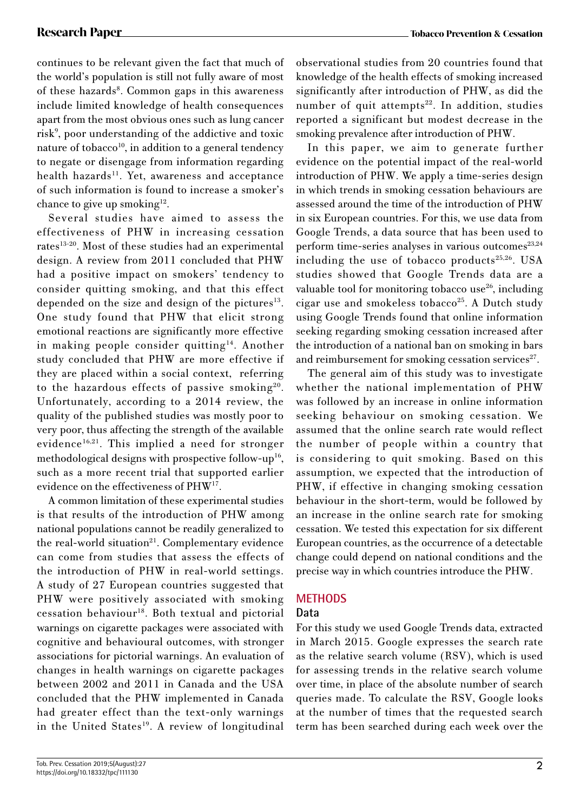continues to be relevant given the fact that much of the world's population is still not fully aware of most of these hazards<sup>8</sup>. Common gaps in this awareness include limited knowledge of health consequences apart from the most obvious ones such as lung cancer risk<sup>9</sup>, poor understanding of the addictive and toxic nature of tobacco<sup>10</sup>, in addition to a general tendency to negate or disengage from information regarding health hazards<sup>11</sup>. Yet, awareness and acceptance of such information is found to increase a smoker's chance to give up smoking $12$ .

Several studies have aimed to assess the effectiveness of PHW in increasing cessation rates<sup>13-20</sup>. Most of these studies had an experimental design. A review from 2011 concluded that PHW had a positive impact on smokers' tendency to consider quitting smoking, and that this effect depended on the size and design of the pictures $13$ . One study found that PHW that elicit strong emotional reactions are significantly more effective in making people consider quitting<sup>14</sup>. Another study concluded that PHW are more effective if they are placed within a social context, referring to the hazardous effects of passive smoking<sup>20</sup>. Unfortunately, according to a 2014 review, the quality of the published studies was mostly poor to very poor, thus affecting the strength of the available evidence<sup>16,21</sup>. This implied a need for stronger methodological designs with prospective follow-up<sup>16</sup>, such as a more recent trial that supported earlier evidence on the effectiveness of PHW17.

A common limitation of these experimental studies is that results of the introduction of PHW among national populations cannot be readily generalized to the real-world situation<sup>21</sup>. Complementary evidence can come from studies that assess the effects of the introduction of PHW in real-world settings. A study of 27 European countries suggested that PHW were positively associated with smoking cessation behaviour<sup>18</sup>. Both textual and pictorial warnings on cigarette packages were associated with cognitive and behavioural outcomes, with stronger associations for pictorial warnings. An evaluation of changes in health warnings on cigarette packages between 2002 and 2011 in Canada and the USA concluded that the PHW implemented in Canada had greater effect than the text-only warnings in the United States<sup>19</sup>. A review of longitudinal observational studies from 20 countries found that knowledge of the health effects of smoking increased significantly after introduction of PHW, as did the number of quit attempts<sup>22</sup>. In addition, studies reported a significant but modest decrease in the smoking prevalence after introduction of PHW.

In this paper, we aim to generate further evidence on the potential impact of the real-world introduction of PHW. We apply a time-series design in which trends in smoking cessation behaviours are assessed around the time of the introduction of PHW in six European countries. For this, we use data from Google Trends, a data source that has been used to perform time-series analyses in various outcomes $23,24$ including the use of tobacco products $25,26$ . USA studies showed that Google Trends data are a valuable tool for monitoring tobacco use $26$ , including cigar use and smokeless tobacco<sup>25</sup>. A Dutch study using Google Trends found that online information seeking regarding smoking cessation increased after the introduction of a national ban on smoking in bars and reimbursement for smoking cessation services $27$ .

The general aim of this study was to investigate whether the national implementation of PHW was followed by an increase in online information seeking behaviour on smoking cessation. We assumed that the online search rate would reflect the number of people within a country that is considering to quit smoking. Based on this assumption, we expected that the introduction of PHW, if effective in changing smoking cessation behaviour in the short-term, would be followed by an increase in the online search rate for smoking cessation. We tested this expectation for six different European countries, as the occurrence of a detectable change could depend on national conditions and the precise way in which countries introduce the PHW.

# **METHODS**

# **Data**

For this study we used Google Trends data, extracted in March 2015. Google expresses the search rate as the relative search volume (RSV), which is used for assessing trends in the relative search volume over time, in place of the absolute number of search queries made. To calculate the RSV, Google looks at the number of times that the requested search term has been searched during each week over the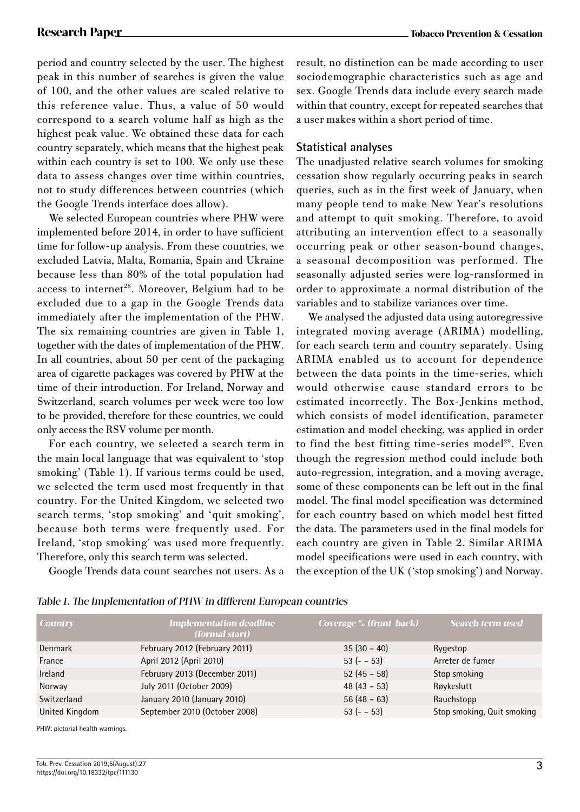period and country selected by the user. The highest peak in this number of searches is given the value of 100, and the other values are scaled relative to this reference value. Thus, a value of 50 would correspond to a search volume half as high as the highest peak value. We obtained these data for each country separately, which means that the highest peak within each country is set to 100. We only use these data to assess changes over time within countries, not to study differences between countries (which the Google Trends interface does allow).

We selected European countries where PHW were implemented before 2014, in order to have sufficient time for follow-up analysis. From these countries, we excluded Latvia, Malta, Romania, Spain and Ukraine because less than 80% of the total population had access to internet<sup>28</sup>. Moreover, Belgium had to be excluded due to a gap in the Google Trends data immediately after the implementation of the PHW. The six remaining countries are given in Table 1, together with the dates of implementation of the PHW. In all countries, about 50 per cent of the packaging area of cigarette packages was covered by PHW at the time of their introduction. For Ireland, Norway and Switzerland, search volumes per week were too low to be provided, therefore for these countries, we could only access the RSV volume per month.

For each country, we selected a search term in the main local language that was equivalent to 'stop smoking' (Table 1). If various terms could be used, we selected the term used most frequently in that country. For the United Kingdom, we selected two search terms, 'stop smoking' and 'quit smoking', because both terms were frequently used. For Ireland, 'stop smoking' was used more frequently. Therefore, only this search term was selected.

Google Trends data count searches not users. As a

result, no distinction can be made according to user sociodemographic characteristics such as age and sex. Google Trends data include every search made within that country, except for repeated searches that a user makes within a short period of time.

### **Statistical analyses**

The unadjusted relative search volumes for smoking cessation show regularly occurring peaks in search queries, such as in the first week of January, when many people tend to make New Year's resolutions and attempt to quit smoking. Therefore, to avoid attributing an intervention effect to a seasonally occurring peak or other season-bound changes, a seasonal decomposition was performed. The seasonally adjusted series were log-ransformed in order to approximate a normal distribution of the variables and to stabilize variances over time.

We analysed the adjusted data using autoregressive integrated moving average (ARIMA) modelling, for each search term and country separately. Using ARIMA enabled us to account for dependence between the data points in the time-series, which would otherwise cause standard errors to be estimated incorrectly. The Box-Jenkins method, which consists of model identification, parameter estimation and model checking, was applied in order to find the best fitting time-series model<sup>29</sup>. Even though the regression method could include both auto-regression, integration, and a moving average, some of these components can be left out in the final model. The final model specification was determined for each country based on which model best fitted the data. The parameters used in the final models for each country are given in Table 2. Similar ARIMA model specifications were used in each country, with the exception of the UK ('stop smoking') and Norway.

| <b>Country</b> | <b>Implementation deadline</b><br>(formal start) | <b>Coverage</b> % (front-back) | Search term used           |
|----------------|--------------------------------------------------|--------------------------------|----------------------------|
| Denmark        | February 2012 (February 2011)                    | $35(30 - 40)$                  | Rygestop                   |
| France         | April 2012 (April 2010)                          | $53(- - 53)$                   | Arreter de fumer           |
| <b>Ireland</b> | February 2013 (December 2011)                    | $52(45-58)$                    | Stop smoking               |
| Norway         | July 2011 (October 2009)                         | $48(43-53)$                    | Røykeslutt                 |
| Switzerland    | January 2010 (January 2010)                      | $56(48-63)$                    | Rauchstopp                 |
| United Kingdom | September 2010 (October 2008)                    | $53(- - 53)$                   | Stop smoking, Quit smoking |

| Table 1. The Implementation of PHW in different European countries |
|--------------------------------------------------------------------|
|--------------------------------------------------------------------|

PHW: pictorial health warnings.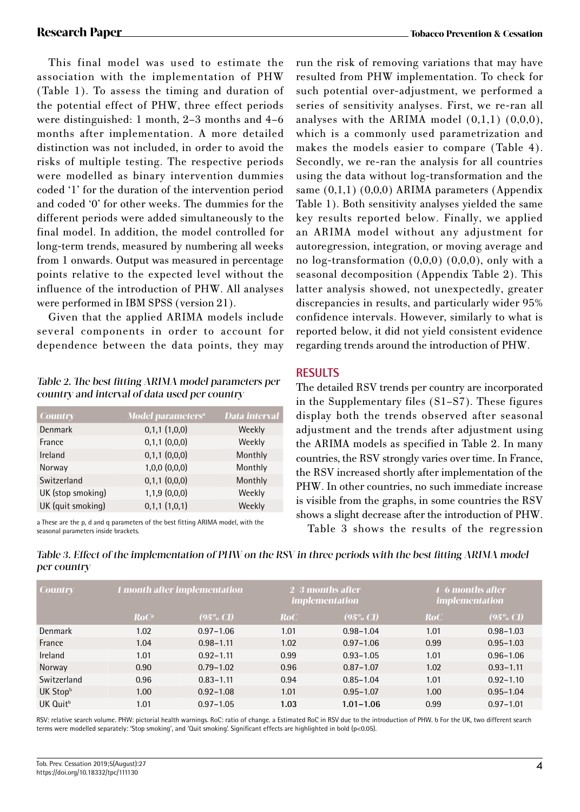This final model was used to estimate the association with the implementation of PHW (Table 1). To assess the timing and duration of the potential effect of PHW, three effect periods were distinguished: 1 month, 2–3 months and 4–6 months after implementation. A more detailed distinction was not included, in order to avoid the risks of multiple testing. The respective periods were modelled as binary intervention dummies coded '1' for the duration of the intervention period and coded '0' for other weeks. The dummies for the different periods were added simultaneously to the final model. In addition, the model controlled for long-term trends, measured by numbering all weeks from 1 onwards. Output was measured in percentage points relative to the expected level without the influence of the introduction of PHW. All analyses were performed in IBM SPSS (version 21).

Given that the applied ARIMA models include several components in order to account for dependence between the data points, they may

### Table 2. The best fitting ARIMA model parameters per country and interval of data used per country

| <b>Country</b>    | <b>Model parameters<sup>a</sup></b> | Data interval |
|-------------------|-------------------------------------|---------------|
| <b>Denmark</b>    | 0,1,1(1,0,0)                        | Weekly        |
| France            | $0,1,1$ $(0,0,0)$                   | Weekly        |
| Ireland           | $0,1,1$ $(0,0,0)$                   | Monthly       |
| Norway            | $1,0,0$ $(0,0,0)$                   | Monthly       |
| Switzerland       | $0,1,1$ $(0,0,0)$                   | Monthly       |
| UK (stop smoking) | $1,1,9$ $(0,0,0)$                   | Weekly        |
| UK (quit smoking) | 0,1,1(1,0,1)                        | Weekly        |

a These are the p, d and q parameters of the best fitting ARIMA model, with the seasonal parameters inside brackets.

run the risk of removing variations that may have resulted from PHW implementation. To check for such potential over-adjustment, we performed a series of sensitivity analyses. First, we re-ran all analyses with the ARIMA model  $(0,1,1)$   $(0,0,0)$ , which is a commonly used parametrization and makes the models easier to compare (Table 4). Secondly, we re-ran the analysis for all countries using the data without log-transformation and the same (0,1,1) (0,0,0) ARIMA parameters (Appendix Table 1). Both sensitivity analyses yielded the same key results reported below. Finally, we applied an ARIMA model without any adjustment for autoregression, integration, or moving average and no  $log-transformation (0,0,0) (0,0,0)$ , only with a seasonal decomposition (Appendix Table 2). This latter analysis showed, not unexpectedly, greater discrepancies in results, and particularly wider 95% confidence intervals. However, similarly to what is reported below, it did not yield consistent evidence regarding trends around the introduction of PHW.

# **RESULTS**

The detailed RSV trends per country are incorporated in the Supplementary files (S1–S7). These figures display both the trends observed after seasonal adjustment and the trends after adjustment using the ARIMA models as specified in Table 2. In many countries, the RSV strongly varies over time. In France, the RSV increased shortly after implementation of the PHW. In other countries, no such immediate increase is visible from the graphs, in some countries the RSV shows a slight decrease after the introduction of PHW.

Table 3 shows the results of the regression

| <b>Country</b>       | 1 month after implementation |                     | $2-3$ months after<br><i>implementation</i> |                     | 4–6 months after<br><i>implementation</i> |                     |
|----------------------|------------------------------|---------------------|---------------------------------------------|---------------------|-------------------------------------------|---------------------|
|                      | RoC                          | $(95\% \text{ CI})$ | RoC                                         | $(95\% \text{ CI})$ | RoC                                       | $(95\% \text{ CI})$ |
| Denmark              | 1.02                         | $0.97 - 1.06$       | 1.01                                        | $0.98 - 1.04$       | 1.01                                      | $0.98 - 1.03$       |
| France               | 1.04                         | $0.98 - 1.11$       | 1.02                                        | $0.97 - 1.06$       | 0.99                                      | $0.95 - 1.03$       |
| Ireland              | 1.01                         | $0.92 - 1.11$       | 0.99                                        | $0.93 - 1.05$       | 1.01                                      | $0.96 - 1.06$       |
| Norway               | 0.90                         | $0.79 - 1.02$       | 0.96                                        | $0.87 - 1.07$       | 1.02                                      | $0.93 - 1.11$       |
| Switzerland          | 0.96                         | $0.83 - 1.11$       | 0.94                                        | $0.85 - 1.04$       | 1.01                                      | $0.92 - 1.10$       |
| UK Stopb             | 1.00                         | $0.92 - 1.08$       | 1.01                                        | $0.95 - 1.07$       | 1.00                                      | $0.95 - 1.04$       |
| UK Quit <sup>b</sup> | 1.01                         | $0.97 - 1.05$       | 1.03                                        | $1.01 - 1.06$       | 0.99                                      | $0.97 - 1.01$       |

Table 3. Effect of the implementation of PHW on the RSV in three periods with the best fitting ARIMA model per country

RSV: relative search volume. PHW: pictorial health warnings. RoC: ratio of change. a Estimated RoC in RSV due to the introduction of PHW. b For the UK, two different search terms were modelled separately: 'Stop smoking', and 'Quit smoking'. Significant effects are highlighted in bold (p<0.05).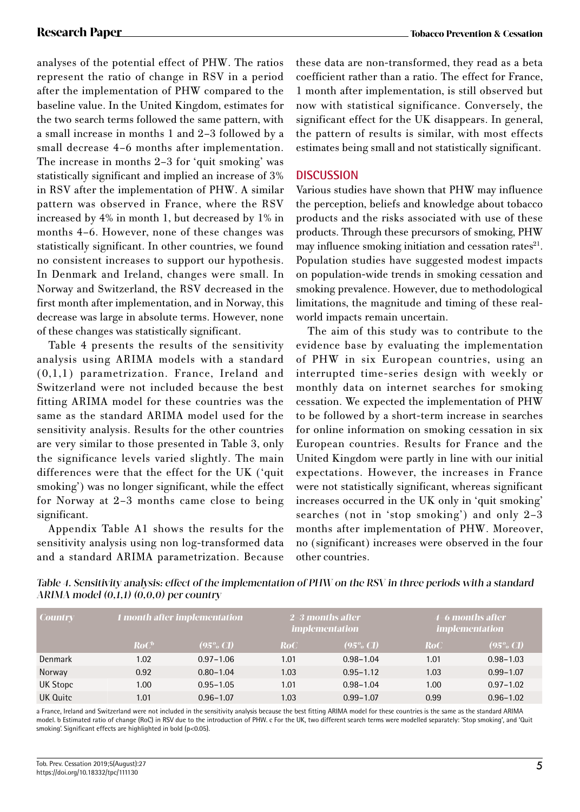analyses of the potential effect of PHW. The ratios represent the ratio of change in RSV in a period after the implementation of PHW compared to the baseline value. In the United Kingdom, estimates for the two search terms followed the same pattern, with a small increase in months 1 and 2–3 followed by a small decrease 4–6 months after implementation. The increase in months 2–3 for 'quit smoking' was statistically significant and implied an increase of 3% in RSV after the implementation of PHW. A similar pattern was observed in France, where the RSV increased by 4% in month 1, but decreased by 1% in months 4–6. However, none of these changes was statistically significant. In other countries, we found no consistent increases to support our hypothesis. In Denmark and Ireland, changes were small. In Norway and Switzerland, the RSV decreased in the first month after implementation, and in Norway, this decrease was large in absolute terms. However, none of these changes was statistically significant.

Table 4 presents the results of the sensitivity analysis using ARIMA models with a standard (0,1,1) parametrization. France, Ireland and Switzerland were not included because the best fitting ARIMA model for these countries was the same as the standard ARIMA model used for the sensitivity analysis. Results for the other countries are very similar to those presented in Table 3, only the significance levels varied slightly. The main differences were that the effect for the UK ('quit smoking') was no longer significant, while the effect for Norway at 2–3 months came close to being significant.

Appendix Table A1 shows the results for the sensitivity analysis using non log-transformed data and a standard ARIMA parametrization. Because these data are non-transformed, they read as a beta coefficient rather than a ratio. The effect for France, 1 month after implementation, is still observed but now with statistical significance. Conversely, the significant effect for the UK disappears. In general, the pattern of results is similar, with most effects estimates being small and not statistically significant.

### **DISCUSSION**

Various studies have shown that PHW may influence the perception, beliefs and knowledge about tobacco products and the risks associated with use of these products. Through these precursors of smoking, PHW may influence smoking initiation and cessation rates<sup>21</sup>. Population studies have suggested modest impacts on population-wide trends in smoking cessation and smoking prevalence. However, due to methodological limitations, the magnitude and timing of these realworld impacts remain uncertain.

The aim of this study was to contribute to the evidence base by evaluating the implementation of PHW in six European countries, using an interrupted time-series design with weekly or monthly data on internet searches for smoking cessation. We expected the implementation of PHW to be followed by a short-term increase in searches for online information on smoking cessation in six European countries. Results for France and the United Kingdom were partly in line with our initial expectations. However, the increases in France were not statistically significant, whereas significant increases occurred in the UK only in 'quit smoking' searches (not in 'stop smoking') and only 2–3 months after implementation of PHW. Moreover, no (significant) increases were observed in the four other countries.

| Table 4. Sensitivity analysis: effect of the implementation of PHW on the RSV in three periods with a standard |
|----------------------------------------------------------------------------------------------------------------|
| ARIMA model $(0,1,1)$ $(0,0,0)$ per country                                                                    |
|                                                                                                                |

| <b>Country</b> | <b>1</b> month after implementation |                     | $2-3$ months after<br><i>implementation</i> |                     | 4–6 months after<br><i>implementation</i> |                     |
|----------------|-------------------------------------|---------------------|---------------------------------------------|---------------------|-------------------------------------------|---------------------|
|                | RoC                                 | $(95\% \text{ CI})$ | <b>RoC</b>                                  | $(95\% \text{ CI})$ | <b>RoC</b>                                | $(95\% \text{ CI})$ |
| Denmark        | 1.02                                | $0.97 - 1.06$       | 1.01                                        | $0.98 - 1.04$       | 1.01                                      | $0.98 - 1.03$       |
| Norway         | 0.92                                | $0.80 - 1.04$       | 1.03                                        | $0.95 - 1.12$       | 1.03                                      | $0.99 - 1.07$       |
| UK Stopc       | 1.00                                | $0.95 - 1.05$       | 1.01                                        | $0.98 - 1.04$       | 1.00                                      | $0.97 - 1.02$       |
| UK Quitc       | 1.01                                | $0.96 - 1.07$       | 1.03                                        | $0.99 - 1.07$       | 0.99                                      | $0.96 - 1.02$       |

a France, Ireland and Switzerland were not included in the sensitivity analysis because the best fitting ARIMA model for these countries is the same as the standard ARIMA model. b Estimated ratio of change (RoC) in RSV due to the introduction of PHW. c For the UK, two different search terms were modelled separately: 'Stop smoking', and 'Quit smoking'. Significant effects are highlighted in bold (p<0.05).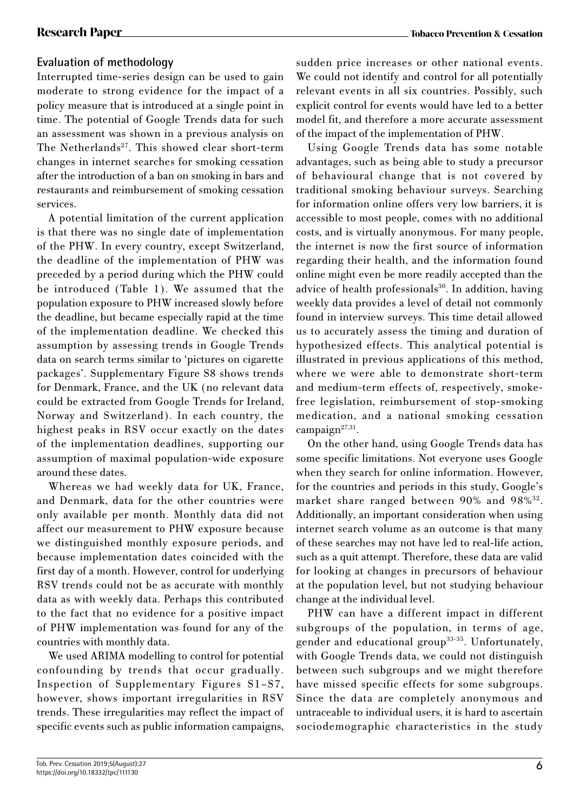# **Evaluation of methodology**

Interrupted time-series design can be used to gain moderate to strong evidence for the impact of a policy measure that is introduced at a single point in time. The potential of Google Trends data for such an assessment was shown in a previous analysis on The Netherlands<sup>27</sup>. This showed clear short-term changes in internet searches for smoking cessation after the introduction of a ban on smoking in bars and restaurants and reimbursement of smoking cessation services.

A potential limitation of the current application is that there was no single date of implementation of the PHW. In every country, except Switzerland, the deadline of the implementation of PHW was preceded by a period during which the PHW could be introduced (Table 1). We assumed that the population exposure to PHW increased slowly before the deadline, but became especially rapid at the time of the implementation deadline. We checked this assumption by assessing trends in Google Trends data on search terms similar to 'pictures on cigarette packages'. Supplementary Figure S8 shows trends for Denmark, France, and the UK (no relevant data could be extracted from Google Trends for Ireland, Norway and Switzerland). In each country, the highest peaks in RSV occur exactly on the dates of the implementation deadlines, supporting our assumption of maximal population-wide exposure around these dates.

Whereas we had weekly data for UK, France, and Denmark, data for the other countries were only available per month. Monthly data did not affect our measurement to PHW exposure because we distinguished monthly exposure periods, and because implementation dates coincided with the first day of a month. However, control for underlying RSV trends could not be as accurate with monthly data as with weekly data. Perhaps this contributed to the fact that no evidence for a positive impact of PHW implementation was found for any of the countries with monthly data.

We used ARIMA modelling to control for potential confounding by trends that occur gradually. Inspection of Supplementary Figures S1–S7, however, shows important irregularities in RSV trends. These irregularities may reflect the impact of specific events such as public information campaigns, sudden price increases or other national events. We could not identify and control for all potentially relevant events in all six countries. Possibly, such explicit control for events would have led to a better model fit, and therefore a more accurate assessment of the impact of the implementation of PHW.

Using Google Trends data has some notable advantages, such as being able to study a precursor of behavioural change that is not covered by traditional smoking behaviour surveys. Searching for information online offers very low barriers, it is accessible to most people, comes with no additional costs, and is virtually anonymous. For many people, the internet is now the first source of information regarding their health, and the information found online might even be more readily accepted than the advice of health professionals<sup>30</sup>. In addition, having weekly data provides a level of detail not commonly found in interview surveys. This time detail allowed us to accurately assess the timing and duration of hypothesized effects. This analytical potential is illustrated in previous applications of this method, where we were able to demonstrate short-term and medium-term effects of, respectively, smokefree legislation, reimbursement of stop-smoking medication, and a national smoking cessation campaign<sup>27,31</sup>.

On the other hand, using Google Trends data has some specific limitations. Not everyone uses Google when they search for online information. However, for the countries and periods in this study, Google's market share ranged between 90% and 98%32. Additionally, an important consideration when using internet search volume as an outcome is that many of these searches may not have led to real-life action, such as a quit attempt. Therefore, these data are valid for looking at changes in precursors of behaviour at the population level, but not studying behaviour change at the individual level.

PHW can have a different impact in different subgroups of the population, in terms of age, gender and educational group33-35. Unfortunately, with Google Trends data, we could not distinguish between such subgroups and we might therefore have missed specific effects for some subgroups. Since the data are completely anonymous and untraceable to individual users, it is hard to ascertain sociodemographic characteristics in the study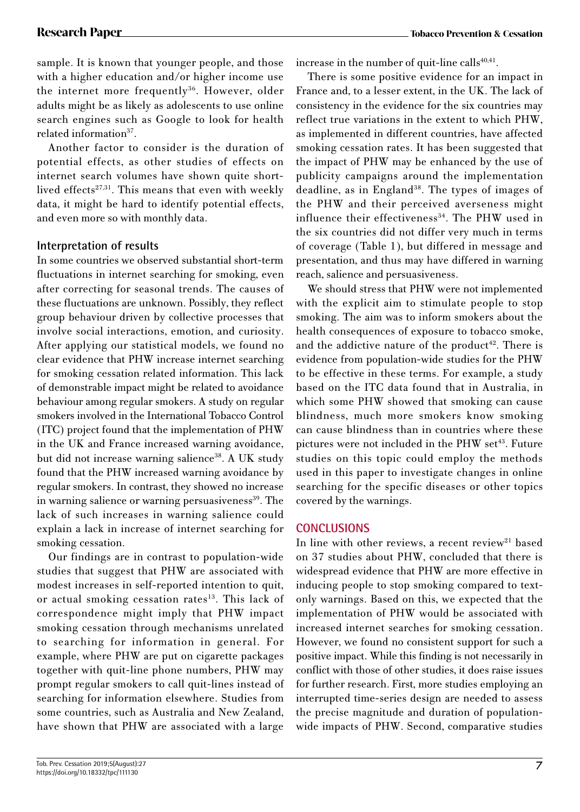sample. It is known that younger people, and those with a higher education and/or higher income use the internet more frequently<sup>36</sup>. However, older adults might be as likely as adolescents to use online search engines such as Google to look for health related information<sup>37</sup>.

Another factor to consider is the duration of potential effects, as other studies of effects on internet search volumes have shown quite shortlived effects<sup>27,31</sup>. This means that even with weekly data, it might be hard to identify potential effects, and even more so with monthly data.

# **Interpretation of results**

In some countries we observed substantial short-term fluctuations in internet searching for smoking, even after correcting for seasonal trends. The causes of these fluctuations are unknown. Possibly, they reflect group behaviour driven by collective processes that involve social interactions, emotion, and curiosity. After applying our statistical models, we found no clear evidence that PHW increase internet searching for smoking cessation related information. This lack of demonstrable impact might be related to avoidance behaviour among regular smokers. A study on regular smokers involved in the International Tobacco Control (ITC) project found that the implementation of PHW in the UK and France increased warning avoidance, but did not increase warning salience<sup>38</sup>. A UK study found that the PHW increased warning avoidance by regular smokers. In contrast, they showed no increase in warning salience or warning persuasiveness<sup>39</sup>. The lack of such increases in warning salience could explain a lack in increase of internet searching for smoking cessation.

Our findings are in contrast to population-wide studies that suggest that PHW are associated with modest increases in self-reported intention to quit, or actual smoking cessation rates<sup>13</sup>. This lack of correspondence might imply that PHW impact smoking cessation through mechanisms unrelated to searching for information in general. For example, where PHW are put on cigarette packages together with quit-line phone numbers, PHW may prompt regular smokers to call quit-lines instead of searching for information elsewhere. Studies from some countries, such as Australia and New Zealand, have shown that PHW are associated with a large

increase in the number of quit-line calls $40,41$ .

There is some positive evidence for an impact in France and, to a lesser extent, in the UK. The lack of consistency in the evidence for the six countries may reflect true variations in the extent to which PHW, as implemented in different countries, have affected smoking cessation rates. It has been suggested that the impact of PHW may be enhanced by the use of publicity campaigns around the implementation deadline, as in England<sup>38</sup>. The types of images of the PHW and their perceived averseness might influence their effectiveness<sup>34</sup>. The PHW used in the six countries did not differ very much in terms of coverage (Table 1), but differed in message and presentation, and thus may have differed in warning reach, salience and persuasiveness.

We should stress that PHW were not implemented with the explicit aim to stimulate people to stop smoking. The aim was to inform smokers about the health consequences of exposure to tobacco smoke, and the addictive nature of the product<sup>42</sup>. There is evidence from population-wide studies for the PHW to be effective in these terms. For example, a study based on the ITC data found that in Australia, in which some PHW showed that smoking can cause blindness, much more smokers know smoking can cause blindness than in countries where these pictures were not included in the PHW set<sup>43</sup>. Future studies on this topic could employ the methods used in this paper to investigate changes in online searching for the specific diseases or other topics covered by the warnings.

# **CONCLUSIONS**

In line with other reviews, a recent review<sup>21</sup> based on 37 studies about PHW, concluded that there is widespread evidence that PHW are more effective in inducing people to stop smoking compared to textonly warnings. Based on this, we expected that the implementation of PHW would be associated with increased internet searches for smoking cessation. However, we found no consistent support for such a positive impact. While this finding is not necessarily in conflict with those of other studies, it does raise issues for further research. First, more studies employing an interrupted time-series design are needed to assess the precise magnitude and duration of populationwide impacts of PHW. Second, comparative studies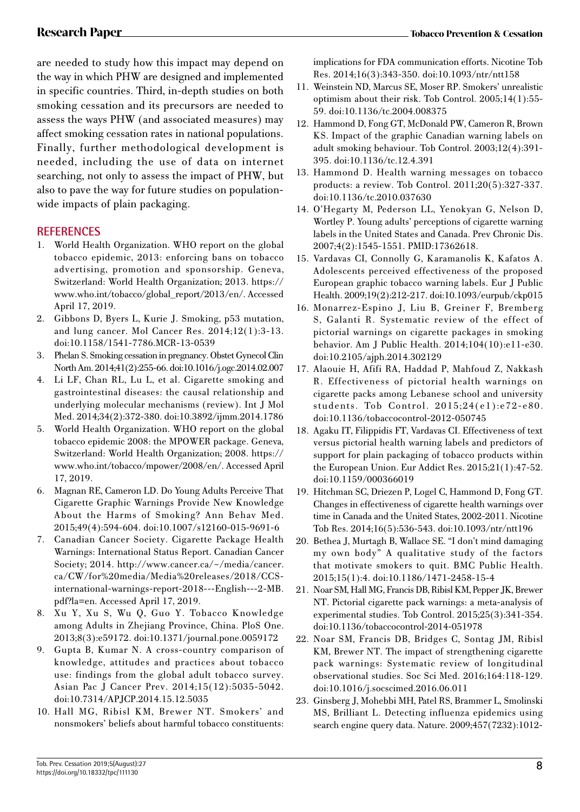are needed to study how this impact may depend on the way in which PHW are designed and implemented in specific countries. Third, in-depth studies on both smoking cessation and its precursors are needed to assess the ways PHW (and associated measures) may affect smoking cessation rates in national populations. Finally, further methodological development is needed, including the use of data on internet searching, not only to assess the impact of PHW, but also to pave the way for future studies on populationwide impacts of plain packaging.

# **REFERENCES**

- 1. World Health Organization. WHO report on the global tobacco epidemic, 2013: enforcing bans on tobacco advertising, promotion and sponsorship. Geneva, Switzerland: World Health Organization; 2013. https:// www.who.int/tobacco/global\_report/2013/en/. Accessed April 17, 2019.
- 2. Gibbons D, Byers L, Kurie J. Smoking, p53 mutation, and lung cancer. Mol Cancer Res. 2014;12(1):3-13. doi:10.1158/1541-7786.MCR-13-0539
- 3. Phelan S. Smoking cessation in pregnancy. Obstet Gynecol Clin North Am. 2014;41(2):255-66. doi:10.1016/j.ogc.2014.02.007
- 4. Li LF, Chan RL, Lu L, et al. Cigarette smoking and gastrointestinal diseases: the causal relationship and underlying molecular mechanisms (review). Int J Mol Med. 2014;34(2):372-380. doi:10.3892/ijmm.2014.1786
- 5. World Health Organization. WHO report on the global tobacco epidemic 2008: the MPOWER package. Geneva, Switzerland: World Health Organization; 2008. https:// www.who.int/tobacco/mpower/2008/en/. Accessed April 17, 2019.
- 6. Magnan RE, Cameron LD. Do Young Adults Perceive That Cigarette Graphic Warnings Provide New Knowledge About the Harms of Smoking? Ann Behav Med. 2015;49(4):594-604. doi:10.1007/s12160-015-9691-6
- 7. Canadian Cancer Society. Cigarette Package Health Warnings: International Status Report. Canadian Cancer Society; 2014. http://www.cancer.ca/~/media/cancer. ca/CW/for%20media/Media%20releases/2018/CCSinternational-warnings-report-2018---English---2-MB. pdf?la=en. Accessed April 17, 2019.
- 8. Xu Y, Xu S, Wu Q, Guo Y. Tobacco Knowledge among Adults in Zhejiang Province, China. PloS One. 2013;8(3):e59172. doi:10.1371/journal.pone.0059172
- 9. Gupta B, Kumar N. A cross-country comparison of knowledge, attitudes and practices about tobacco use: findings from the global adult tobacco survey. Asian Pac J Cancer Prev. 2014;15(12):5035-5042. doi:10.7314/APJCP.2014.15.12.5035
- 10. Hall MG, Ribisl KM, Brewer NT. Smokers' and nonsmokers' beliefs about harmful tobacco constituents:

implications for FDA communication efforts. Nicotine Tob Res. 2014;16(3):343-350. doi:10.1093/ntr/ntt158

- 11. Weinstein ND, Marcus SE, Moser RP. Smokers' unrealistic optimism about their risk. Tob Control. 2005;14(1):55- 59. doi:10.1136/tc.2004.008375
- 12. Hammond D, Fong GT, McDonald PW, Cameron R, Brown KS. Impact of the graphic Canadian warning labels on adult smoking behaviour. Tob Control. 2003;12(4):391- 395. doi:10.1136/tc.12.4.391
- 13. Hammond D. Health warning messages on tobacco products: a review. Tob Control. 2011;20(5):327-337. doi:10.1136/tc.2010.037630
- 14. O'Hegarty M, Pederson LL, Yenokyan G, Nelson D, Wortley P. Young adults' perceptions of cigarette warning labels in the United States and Canada. Prev Chronic Dis. 2007;4(2):1545-1551. PMID:17362618.
- 15. Vardavas CI, Connolly G, Karamanolis K, Kafatos A. Adolescents perceived effectiveness of the proposed European graphic tobacco warning labels. Eur J Public Health. 2009;19(2):212-217. doi:10.1093/eurpub/ckp015
- 16. Monarrez-Espino J, Liu B, Greiner F, Bremberg S, Galanti R. Systematic review of the effect of pictorial warnings on cigarette packages in smoking behavior. Am J Public Health. 2014;104(10):e11-e30. doi:10.2105/ajph.2014.302129
- 17. Alaouie H, Afifi RA, Haddad P, Mahfoud Z, Nakkash R. Effectiveness of pictorial health warnings on cigarette packs among Lebanese school and university students. Tob Control. 2015;24(e1):e72-e80. doi:10.1136/tobaccocontrol-2012-050745
- 18. Agaku IT, Filippidis FT, Vardavas CI. Effectiveness of text versus pictorial health warning labels and predictors of support for plain packaging of tobacco products within the European Union. Eur Addict Res. 2015;21(1):47-52. doi:10.1159/000366019
- 19. Hitchman SC, Driezen P, Logel C, Hammond D, Fong GT. Changes in effectiveness of cigarette health warnings over time in Canada and the United States, 2002-2011. Nicotine Tob Res. 2014;16(5):536-543. doi:10.1093/ntr/ntt196
- 20. Bethea J, Murtagh B, Wallace SE. "I don't mind damaging my own body" A qualitative study of the factors that motivate smokers to quit. BMC Public Health. 2015;15(1):4. doi:10.1186/1471-2458-15-4
- 21. Noar SM, Hall MG, Francis DB, Ribisl KM, Pepper JK, Brewer NT. Pictorial cigarette pack warnings: a meta-analysis of experimental studies. Tob Control. 2015;25(3):341-354. doi:10.1136/tobaccocontrol-2014-051978
- 22. Noar SM, Francis DB, Bridges C, Sontag JM, Ribisl KM, Brewer NT. The impact of strengthening cigarette pack warnings: Systematic review of longitudinal observational studies. Soc Sci Med. 2016;164:118-129. doi:10.1016/j.socscimed.2016.06.011
- 23. Ginsberg J, Mohebbi MH, Patel RS, Brammer L, Smolinski MS, Brilliant L. Detecting influenza epidemics using search engine query data. Nature. 2009;457(7232):1012-